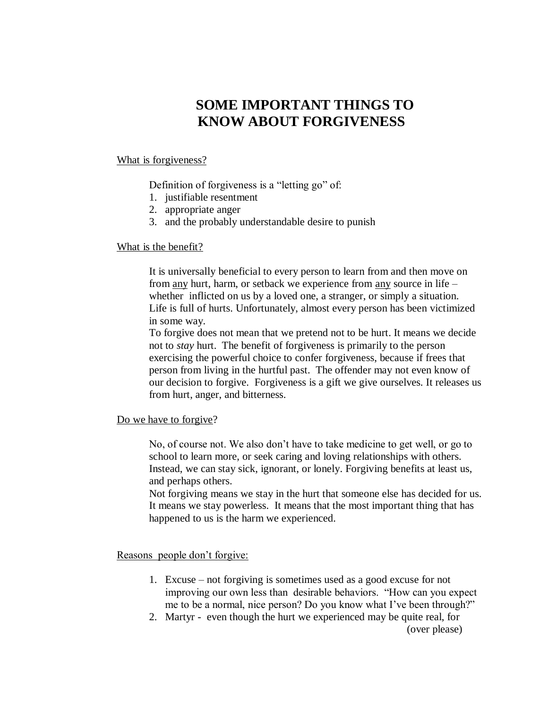## **SOME IMPORTANT THINGS TO KNOW ABOUT FORGIVENESS**

## What is forgiveness?

Definition of forgiveness is a "letting go" of:

- 1. justifiable resentment
- 2. appropriate anger
- 3. and the probably understandable desire to punish

## What is the benefit?

It is universally beneficial to every person to learn from and then move on from any hurt, harm, or setback we experience from any source in life – whether inflicted on us by a loved one, a stranger, or simply a situation. Life is full of hurts. Unfortunately, almost every person has been victimized in some way.

To forgive does not mean that we pretend not to be hurt. It means we decide not to *stay* hurt. The benefit of forgiveness is primarily to the person exercising the powerful choice to confer forgiveness, because if frees that person from living in the hurtful past. The offender may not even know of our decision to forgive. Forgiveness is a gift we give ourselves. It releases us from hurt, anger, and bitterness.

Do we have to forgive?

No, of course not. We also don't have to take medicine to get well, or go to school to learn more, or seek caring and loving relationships with others. Instead, we can stay sick, ignorant, or lonely. Forgiving benefits at least us, and perhaps others.

Not forgiving means we stay in the hurt that someone else has decided for us. It means we stay powerless. It means that the most important thing that has happened to us is the harm we experienced.

Reasons people don't forgive:

- 1. Excuse not forgiving is sometimes used as a good excuse for not improving our own less than desirable behaviors. "How can you expect me to be a normal, nice person? Do you know what I've been through?"
- 2. Martyr even though the hurt we experienced may be quite real, for (over please)